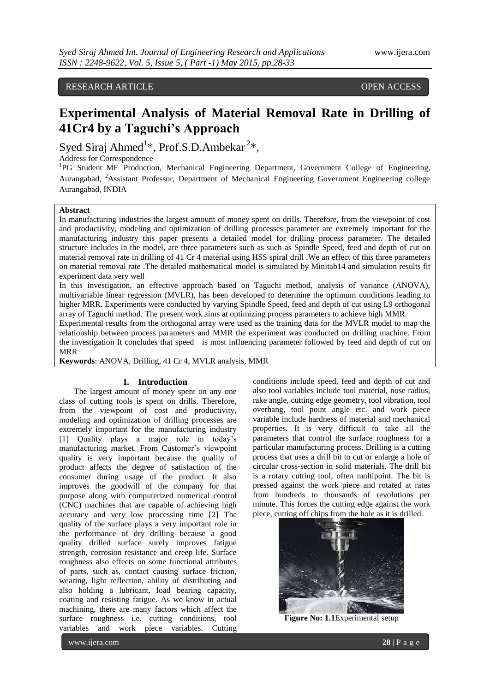# RESEARCH ARTICLE OPEN ACCESS

# **Experimental Analysis of Material Removal Rate in Drilling of 41Cr4 by a Taguchi's Approach**

Syed Siraj Ahmed<sup>1</sup>\*, Prof.S.D.Ambekar<sup>2</sup>\*,

Address for Correspondence

<sup>1</sup>PG Student ME Production, Mechanical Engineering Department, Government College of Engineering, Aurangabad, <sup>2</sup>Assistant Professor, Department of Mechanical Engineering Government Engineering college Aurangabad, INDIA

#### **Abstract**

In manufacturing industries the largest amount of money spent on drills. Therefore, from the viewpoint of cost and productivity, modeling and optimization of drilling processes parameter are extremely important for the manufacturing industry this paper presents a detailed model for drilling process parameter. The detailed structure includes in the model, are three parameters such as such as Spindle Speed, feed and depth of cut on material removal rate in drilling of 41 Cr 4 material using HSS spiral drill .We an effect of this three parameters on material removal rate .The detailed mathematical model is simulated by Minitab14 and simulation results fit experiment data very well

In this investigation, an effective approach based on Taguchi method, analysis of variance (ANOVA), multivariable linear regression (MVLR), has been developed to determine the optimum conditions leading to higher MRR. Experiments were conducted by varying Spindle Speed, feed and depth of cut using L9 orthogonal array of Taguchi method. The present work aims at optimizing process parameters to achieve high MMR.

Experimental results from the orthogonal array were used as the training data for the MVLR model to map the relationship between process parameters and MMR the experiment was conducted on drilling machine. From the investigation It concludes that speed is most influencing parameter followed by feed and depth of cut on MRR

**Keywords**: ANOVA, Drilling, 41 Cr 4, MVLR analysis, MMR

# **I. Introduction**

The largest amount of money spent on any one class of cutting tools is spent on drills. Therefore, from the viewpoint of cost and productivity, modeling and optimization of drilling processes are extremely important for the manufacturing industry [1] Quality plays a major role in today's manufacturing market. From Customer's viewpoint quality is very important because the quality of product affects the degree of satisfaction of the consumer during usage of the product. It also improves the goodwill of the company for that purpose along with computerized numerical control (CNC) machines that are capable of achieving high accuracy and very low processing time [2] The quality of the surface plays a very important role in the performance of dry drilling because a good quality drilled surface surely improves fatigue strength, corrosion resistance and creep life. Surface roughness also effects on some functional attributes of parts, such as, contact causing surface friction, wearing, light reflection, ability of distributing and also holding a lubricant, load bearing capacity, coating and resisting fatigue. As we know in actual machining, there are many factors which affect the surface roughness i.e. cutting conditions, tool variables and work piece variables. Cutting

conditions include speed, feed and depth of cut and also tool variables include tool material, nose radius, rake angle, cutting edge geometry, tool vibration, tool overhang, tool point angle etc. and work piece variable include hardness of material and mechanical properties. It is very difficult to take all the parameters that control the surface roughness for a particular manufacturing process. Drilling is [a cutting](http://en.wikipedia.org/wiki/Cutting) process that uses a [drill bit](http://en.wikipedia.org/wiki/Drill_bit) to cut or enlarge a hole of circular [cross-section](http://en.wikipedia.org/wiki/Cross_section_%28geometry%29) in solid materials. The drill bit is a rotary [cutting tool,](http://en.wikipedia.org/wiki/Cutting_tool) often multipoint. The bit is [pressed](http://en.wikipedia.org/wiki/Pressure) against the work piece and rotated at rates from hundreds to thousands of [revolutions per](http://en.wikipedia.org/wiki/Revolutions_per_minute)  [minute.](http://en.wikipedia.org/wiki/Revolutions_per_minute) This forces the cutting edge against the work piece, cutting off chips from the hole as it is drilled.



**Figure No: 1.1**Experimental setup

www.ijera.com **28** | P a g e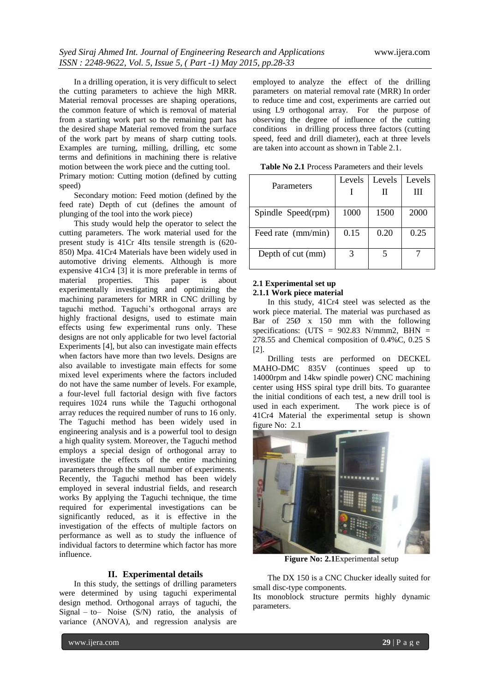In a drilling operation, it is very difficult to select the cutting parameters to achieve the high MRR. Material removal processes are shaping operations, the common feature of which is removal of material from a starting work part so the remaining part has the desired shape Material removed from the surface of the work part by means of sharp cutting tools. Examples are turning, milling, drilling, etc some terms and definitions in machining there is relative motion between the work piece and the cutting tool. Primary motion: Cutting motion (defined by cutting

speed) Secondary motion: Feed motion (defined by the

feed rate) Depth of cut (defines the amount of plunging of the tool into the work piece)

This study would help the operator to select the cutting parameters. The work material used for the present study is 41Cr 4Its tensile strength is (620- 850) Mpa. 41Cr4 Materials have been widely used in automotive driving elements. Although is more expensive 41Cr4 [3] it is more preferable in terms of material properties. This paper is about experimentally investigating and optimizing the machining parameters for MRR in CNC drilling by taguchi method. Taguchi"s orthogonal arrays are highly fractional designs, used to estimate main effects using few experimental runs only. These designs are not only applicable for two level factorial Experiments [4], but also can investigate main effects when factors have more than two levels. Designs are also available to investigate main effects for some mixed level experiments where the factors included do not have the same number of levels. For example, a four-level full factorial design with five factors requires 1024 runs while the Taguchi orthogonal array reduces the required number of runs to 16 only. The Taguchi method has been widely used in engineering analysis and is a powerful tool to design a high quality system. Moreover, the Taguchi method employs a special design of orthogonal array to investigate the effects of the entire machining parameters through the small number of experiments. Recently, the Taguchi method has been widely employed in several industrial fields, and research works By applying the Taguchi technique, the time required for experimental investigations can be significantly reduced, as it is effective in the investigation of the effects of multiple factors on performance as well as to study the influence of individual factors to determine which factor has more influence.

# **II. Experimental details**

In this study, the settings of drilling parameters were determined by using taguchi experimental design method. Orthogonal arrays of taguchi, the Signal – to– Noise  $(S/N)$  ratio, the analysis of variance (ANOVA), and regression analysis are employed to analyze the effect of the drilling parameters on material removal rate (MRR) In order to reduce time and cost, experiments are carried out using L9 orthogonal array. For the purpose of observing the degree of influence of the cutting conditions in drilling process three factors (cutting speed, feed and drill diameter), each at three levels are taken into account as shown in Table 2.1.

**Table No 2.1** Process Parameters and their levels

|                    | Levels | Levels | Levels |
|--------------------|--------|--------|--------|
| Parameters         |        | н      | Ш      |
|                    |        |        |        |
| Spindle Speed(rpm) | 1000   | 1500   | 2000   |
|                    |        |        |        |
| Feed rate (mm/min) | 0.15   | 0.20   | 0.25   |
| Depth of cut (mm)  |        |        |        |

# **2.1 Experimental set up 2.1.1 Work piece material**

In this study, 41Cr4 steel was selected as the work piece material. The material was purchased as Bar of 25Ø x 150 mm with the following specifications: (UTS =  $902.83$  N/mmm2, BHN = 278.55 and Chemical composition of 0.4%C, 0.25 S [2].

Drilling tests are performed on DECKEL MAHO-DMC 835V (continues speed up to 14000rpm and 14kw spindle power) CNC machining center using HSS spiral type drill bits. To guarantee the initial conditions of each test, a new drill tool is used in each experiment. The work piece is of 41Cr4 Material the experimental setup is shown figure No: 2.1



**Figure No: 2.1**Experimental setup

The DX 150 is a CNC Chucker ideally suited for small disc-type components.

Its monoblock structure permits highly dynamic parameters.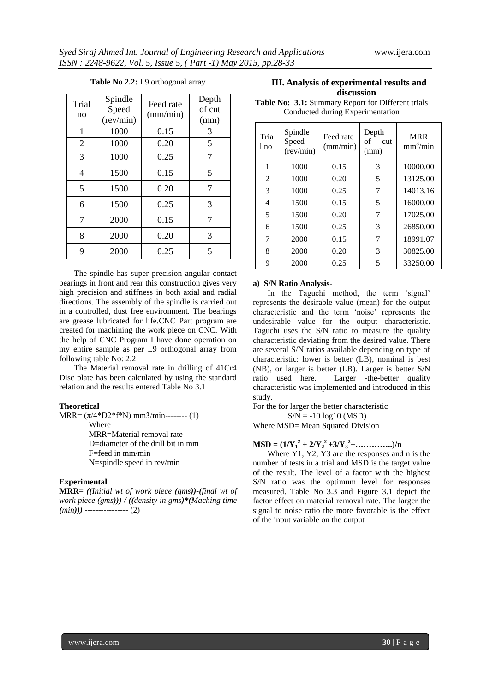| Trial<br>no    | Spindle<br>Speed<br>(rev/min) | Feed rate<br>(mm/min) | Depth<br>of cut<br>(mm) |
|----------------|-------------------------------|-----------------------|-------------------------|
| $\mathbf{1}$   | 1000                          | 0.15                  | 3                       |
| $\overline{2}$ | 1000                          | 0.20                  | 5                       |
| 3              | 1000                          | 0.25                  | 7                       |
| $\overline{4}$ | 1500                          | 0.15                  | 5                       |
| 5              | 1500                          | 0.20                  | 7                       |
| 6              | 1500                          | 0.25                  | 3                       |
| 7              | 2000                          | 0.15                  | 7                       |
| 8              | 2000                          | 0.20                  | 3                       |
| 9              | 2000                          | 0.25                  | 5                       |

## **Table No 2.2:** L9 orthogonal array

The spindle has super precision angular contact bearings in front and rear this construction gives very high precision and stiffness in both axial and radial directions. The assembly of the spindle is carried out in a controlled, dust free environment. The bearings are grease lubricated for life.CNC Part program are created for machining the work piece on CNC. With the help of CNC Program I have done operation on my entire sample as per L9 orthogonal array from following table No: 2.2

The Material removal rate in drilling of 41Cr4 Disc plate has been calculated by using the standard relation and the results entered Table No 3.1

#### **Theoretical**

MRR=  $(\pi/4*D2*f*N)$  mm3/min-------- (1) Where MRR=Material removal rate D=diameter of the drill bit in mm F=feed in mm/min N=spindle speed in rev/min

# **Experimental**

**MRR=** *((Initial wt of work piece (gms))-(final wt of work piece (gms))) / ((density in gms)\*(Maching time (min)))* ---------------- (2)

# **III. Analysis of experimental results and discussion**

**Table No: 3.1:** Summary Report for Different trials Conducted during Experimentation

| Tria<br>l no | Spindle<br>Speed<br>(rev/min) | Feed rate<br>(mm/min) | Depth<br>of<br>cut<br>(mm) | <b>MRR</b><br>mm <sup>3</sup> /min |
|--------------|-------------------------------|-----------------------|----------------------------|------------------------------------|
| 1            | 1000                          | 0.15                  | 3                          | 10000.00                           |
| 2            | 1000                          | 0.20                  | 5                          | 13125.00                           |
| 3            | 1000                          | 0.25                  | 7                          | 14013.16                           |
| 4            | 1500                          | 0.15                  | 5                          | 16000.00                           |
| 5            | 1500                          | 0.20                  | 7                          | 17025.00                           |
| 6            | 1500                          | 0.25                  | 3                          | 26850.00                           |
| 7            | 2000                          | 0.15                  | 7                          | 18991.07                           |
| 8            | 2000                          | 0.20                  | 3                          | 30825.00                           |
| 9            | 2000                          | 0.25                  | 5                          | 33250.00                           |

## **a) S/N Ratio Analysis-**

In the Taguchi method, the term 'signal' represents the desirable value (mean) for the output characteristic and the term "noise" represents the undesirable value for the output characteristic. Taguchi uses the S/N ratio to measure the quality characteristic deviating from the desired value. There are several S/N ratios available depending on type of characteristic: lower is better (LB), nominal is best (NB), or larger is better (LB). Larger is better S/N ratio used here. Larger -the-better quality characteristic was implemented and introduced in this study.

For the for larger the better characteristic

 $S/N = -10 log10 (MSD)$ 

Where MSD= Mean Squared Division

**MSD** =  $(1/Y_1^2 + 2/Y_2^2 + 3/Y_3^2 + \dots + \dots)$ /n

Where Y1, Y2, Y3 are the responses and n is the number of tests in a trial and MSD is the target value of the result. The level of a factor with the highest S/N ratio was the optimum level for responses measured. Table No 3.3 and Figure 3.1 depict the factor effect on material removal rate. The larger the signal to noise ratio the more favorable is the effect of the input variable on the output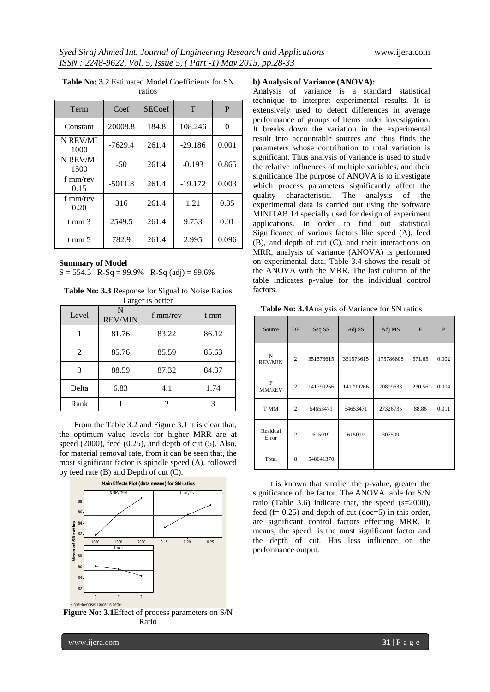| Term             | Coef      | <b>SECoef</b> | T         | P     |
|------------------|-----------|---------------|-----------|-------|
| Constant         | 20008.8   | 184.8         | 108.246   | 0     |
| N REV/MI<br>1000 | $-7629.4$ | 261.4         | $-29.186$ | 0.001 |
| N REV/MI<br>1500 | $-50$     | 261.4         | $-0.193$  | 0.865 |
| f mm/rev<br>0.15 | $-5011.8$ | 261.4         | $-19.172$ | 0.003 |
| f mm/rev<br>0.20 | 316       | 261.4         | 1.21      | 0.35  |
| t mm $3$         | 2549.5    | 261.4         | 9.753     | 0.01  |
| t mm $5$         | 782.9     | 261.4         | 2.995     | 0.096 |

#### **Table No: 3.2** Estimated Model Coefficients for SN ratios

#### **Summary of Model**

 $S = 554.5$  R-Sq = 99.9% R-Sq (adj) = 99.6%

**Table No: 3.3** Response for Signal to Noise Ratios Larger is better

| Level | N<br><b>REV/MIN</b> | f $mm/rev$ | t mm  |
|-------|---------------------|------------|-------|
|       | 81.76               | 83.22      | 86.12 |
| 2     | 85.76               | 85.59      | 85.63 |
| 3     | 88.59               | 87.32      | 84.37 |
| Delta | 6.83                | 4.1        | 1.74  |
| Rank  |                     |            |       |

From the Table 3.2 and Figure 3.1 it is clear that, the optimum value levels for higher MRR are at speed  $(2000)$ , feed  $(0.25)$ , and depth of cut  $(5)$ . Also, for material removal rate, from it can be seen that, the most significant factor is spindle speed (A), followed by feed rate (B) and Depth of cut (C).



**Figure No: 3.1**Effect of process parameters on S/N Ratio

# **b) Analysis of Variance (ANOVA):**

Analysis of variance is a standard statistical technique to interpret experimental results. It is extensively used to detect differences in average performance of groups of items under investigation. It breaks down the variation in the experimental result into accountable sources and thus finds the parameters whose contribution to total variation is significant. Thus analysis of variance is used to study the relative influences of multiple variables, and their significance The purpose of ANOVA is to investigate which process parameters significantly affect the quality characteristic. The analysis of the experimental data is carried out using the software MINITAB 14 specially used for design of experiment applications. In order to find out statistical Significance of various factors like speed (A), feed (B), and depth of cut (C), and their interactions on MRR, analysis of variance (ANOVA) is performed on experimental data. Table 3.4 shows the result of the ANOVA with the MRR. The last column of the table indicates p-value for the individual control factors.

**Table No: 3.4**Analysis of Variance for SN ratios

| Source                 | DF             | Seq SS    | Adj SS    | Adj MS    | F      | P     |
|------------------------|----------------|-----------|-----------|-----------|--------|-------|
| N<br><b>REV/MIN</b>    | $\overline{2}$ | 351573615 | 351573615 | 175786808 | 571.65 | 0.002 |
| $\mathbf{F}$<br>MM/REV | $\overline{2}$ | 141799266 | 141799266 | 70899633  | 230.56 | 0.004 |
| T MM                   | $\overline{c}$ | 54653471  | 54653471  | 27326735  | 88.86  | 0.011 |
| Residual<br>Error      | $\overline{c}$ | 615019    | 615019    | 307509    |        |       |
| Total                  | 8              | 548641370 |           |           |        |       |

It is known that smaller the p-value, greater the significance of the factor. The ANOVA table for S/N ratio (Table 3.6) indicate that, the speed (s=2000), feed  $(f= 0.25)$  and depth of cut  $(doc=5)$  in this order, are significant control factors effecting MRR. It means, the speed is the most significant factor and the depth of cut. Has less influence on the performance output.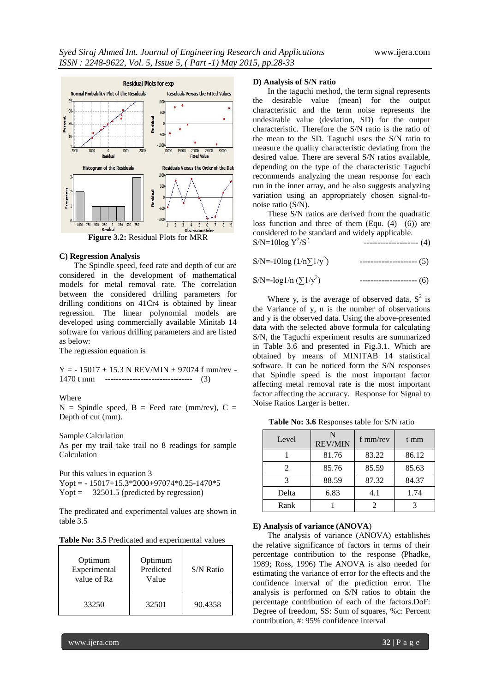

**Figure 3.2:** Residual Plots for MRR

# **C) Regression Analysis**

The Spindle speed, feed rate and depth of cut are considered in the development of mathematical models for metal removal rate. The correlation between the considered drilling parameters for drilling conditions on 41Cr4 is obtained by linear regression. The linear polynomial models are developed using commercially available Minitab 14 software for various drilling parameters and are listed as below:

The regression equation is

 $Y = -15017 + 15.3 N REV/MIN + 97074 f mm/rev -$ 1470 t mm -------------------------------- (3)

#### Where

 $N =$  Spindle speed,  $B =$  Feed rate (mm/rev),  $C =$ Depth of cut (mm).

Sample Calculation

As per my trail take trail no 8 readings for sample Calculation

Put this values in equation 3 Yopt =  $-15017+15.3*2000+97074*0.25-1470*5$ Yopt =  $32501.5$  (predicted by regression)

The predicated and experimental values are shown in table 3.5

| Table No: 3.5 Predicated and experimental values |  |
|--------------------------------------------------|--|
|--------------------------------------------------|--|

| Optimum<br>Experimental<br>value of Ra | Optimum<br>Predicted<br>Value | S/N Ratio |
|----------------------------------------|-------------------------------|-----------|
| 33250                                  | 32501                         | 90.4358   |

#### **D) Analysis of S/N ratio**

In the taguchi method, the term signal represents the desirable value (mean) for the output characteristic and the term noise represents the undesirable value (deviation, SD) for the output characteristic. Therefore the S/N ratio is the ratio of the mean to the SD. Taguchi uses the S/N ratio to measure the quality characteristic deviating from the desired value. There are several S/N ratios available, depending on the type of the characteristic Taguchi recommends analyzing the mean response for each run in the inner array, and he also suggests analyzing variation using an appropriately chosen signal-tonoise ratio (S/N).

These S/N ratios are derived from the quadratic loss function and three of them  $(Equ. (4)– (6))$  are considered to be standard and widely applicable.  $S/N = 10log Y^2/S^2$ -------------------- (4)

| S/N=-10log $(1/n\Sigma 1/y^2)$ | $------------(5)$ |
|--------------------------------|-------------------|
|                                |                   |

S/N=-log1/n  $(\Sigma 1/y^2)$ ) --------------------- (6)

Where y, is the average of observed data,  $S^2$  is the Variance of y, n is the number of observations and y is the observed data. Using the above-presented data with the selected above formula for calculating S/N, the Taguchi experiment results are summarized in Table 3.6 and presented in Fig.3.1. Which are obtained by means of MINITAB 14 statistical software. It can be noticed form the S/N responses that Spindle speed is the most important factor affecting metal removal rate is the most important factor affecting the accuracy. Response for Signal to Noise Ratios Larger is better.

| Level | N<br><b>REV/MIN</b> | $f$ mm/rev | t mm  |
|-------|---------------------|------------|-------|
|       | 81.76               | 83.22      | 86.12 |
| 2     | 85.76               | 85.59      | 85.63 |
|       | 88.59               | 87.32      | 84.37 |
| Delta | 6.83                | 4.1        | 1.74  |
| Rank  |                     |            |       |

#### **E) Analysis of variance (ANOVA**)

The analysis of variance (ANOVA) establishes the relative significance of factors in terms of their percentage contribution to the response (Phadke, 1989; Ross, 1996) The ANOVA is also needed for estimating the variance of error for the effects and the confidence interval of the prediction error. The analysis is performed on S/N ratios to obtain the percentage contribution of each of the factors.DoF: Degree of freedom, SS: Sum of squares, %c: Percent contribution, #: 95% confidence interval